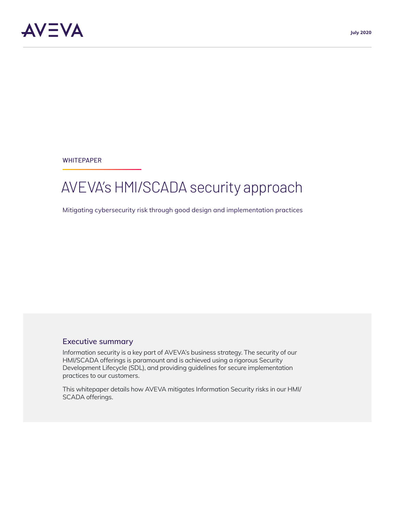**WHITEPAPER** 

# AVEVA's HMI/SCADA security approach

Mitigating cybersecurity risk through good design and implementation practices

#### **Executive summary**

Information security is a key part of AVEVA's business strategy. The security of our HMI/SCADA offerings is paramount and is achieved using a rigorous Security Development Lifecycle (SDL), and providing guidelines for secure implementation practices to our customers.

This whitepaper details how AVEVA mitigates Information Security risks in our HMI/ SCADA offerings.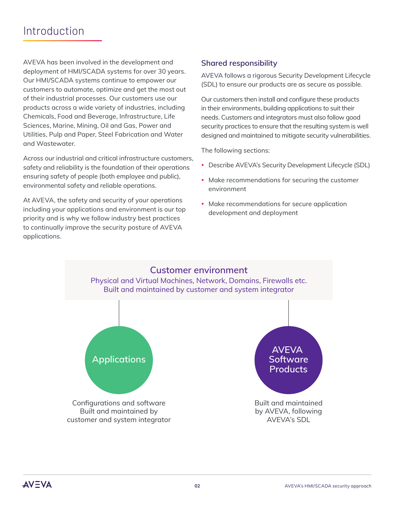## Introduction

AVEVA has been involved in the development and deployment of HMI/SCADA systems for over 30 years. Our HMI/SCADA systems continue to empower our customers to automate, optimize and get the most out of their industrial processes. Our customers use our products across a wide variety of industries, including Chemicals, Food and Beverage, Infrastructure, Life Sciences, Marine, Mining, Oil and Gas, Power and Utilities, Pulp and Paper, Steel Fabrication and Water and Wastewater.

Across our industrial and critical infrastructure customers, safety and reliability is the foundation of their operations ensuring safety of people (both employee and public), environmental safety and reliable operations.

At AVEVA, the safety and security of your operations including your applications and environment is our top priority and is why we follow industry best practices to continually improve the security posture of AVEVA applications.

### **Shared responsibility**

AVEVA follows a rigorous Security Development Lifecycle (SDL) to ensure our products are as secure as possible.

Our customers then install and configure these products in their environments, building applications to suit their needs. Customers and integrators must also follow good security practices to ensure that the resulting system is well designed and maintained to mitigate security vulnerabilities.

The following sections:

- Describe AVEVA's Security Development Lifecycle (SDL)
- Make recommendations for securing the customer environment
- Make recommendations for secure application development and deployment

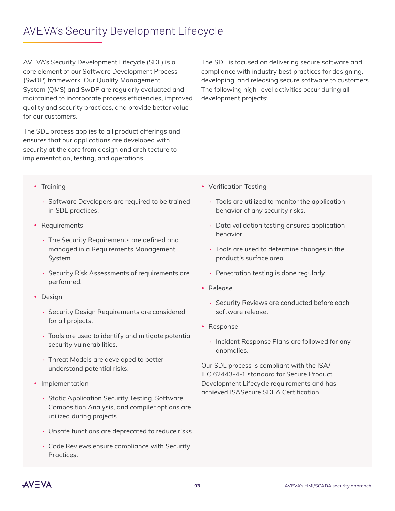## AVEVA's Security Development Lifecycle

AVEVA's Security Development Lifecycle (SDL) is a core element of our Software Development Process (SwDP) framework. Our Quality Management System (QMS) and SwDP are regularly evaluated and maintained to incorporate process efficiencies, improved quality and security practices, and provide better value for our customers.

The SDL process applies to all product offerings and ensures that our applications are developed with security at the core from design and architecture to implementation, testing, and operations.

The SDL is focused on delivering secure software and compliance with industry best practices for designing, developing, and releasing secure software to customers. The following high-level activities occur during all development projects:

- Training
	- **·** Software Developers are required to be trained in SDL practices.
- Requirements
	- **·** The Security Requirements are defined and managed in a Requirements Management System.
	- **·** Security Risk Assessments of requirements are performed.
- Design
	- **·** Security Design Requirements are considered for all projects.
	- **·** Tools are used to identify and mitigate potential security vulnerabilities.
	- **·** Threat Models are developed to better understand potential risks.
- Implementation
	- **·** Static Application Security Testing, Software Composition Analysis, and compiler options are utilized during projects.
	- **·** Unsafe functions are deprecated to reduce risks.
	- **·** Code Reviews ensure compliance with Security Practices.
- Verification Testing
	- **·** Tools are utilized to monitor the application behavior of any security risks.
	- **·** Data validation testing ensures application behavior.
	- **·** Tools are used to determine changes in the product's surface area.
	- **·** Penetration testing is done regularly.
- Release
	- **·** Security Reviews are conducted before each software release.
- Response
	- **·** Incident Response Plans are followed for any anomalies.

Our SDL process is compliant with the ISA/ IEC 62443-4-1 standard for Secure Product Development Lifecycle requirements and has achieved ISASecure SDLA Certification.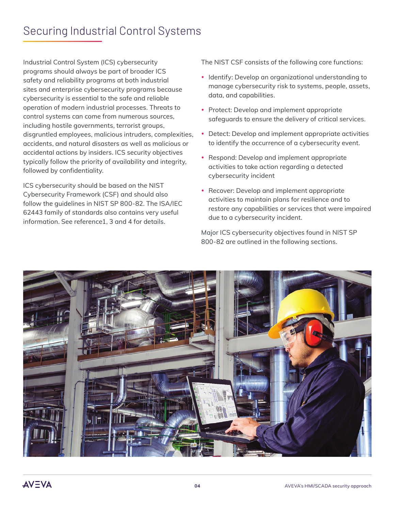## Securing Industrial Control Systems

Industrial Control System (ICS) cybersecurity programs should always be part of broader ICS safety and reliability programs at both industrial sites and enterprise cybersecurity programs because cybersecurity is essential to the safe and reliable operation of modern industrial processes. Threats to control systems can come from numerous sources, including hostile governments, terrorist groups, disgruntled employees, malicious intruders, complexities, accidents, and natural disasters as well as malicious or accidental actions by insiders. ICS security objectives typically follow the priority of availability and integrity, followed by confidentiality.

ICS cybersecurity should be based on the NIST Cybersecurity Framework (CSF) and should also follow the guidelines in NIST SP 800-82. The ISA/IEC 62443 family of standards also contains very useful information. See reference1, 3 and 4 for details.

The NIST CSF consists of the following core functions:

- Identify: Develop an organizational understanding to manage cybersecurity risk to systems, people, assets, data, and capabilities.
- Protect: Develop and implement appropriate safeguards to ensure the delivery of critical services.
- Detect: Develop and implement appropriate activities to identify the occurrence of a cybersecurity event.
- Respond: Develop and implement appropriate activities to take action regarding a detected cybersecurity incident
- Recover: Develop and implement appropriate activities to maintain plans for resilience and to restore any capabilities or services that were impaired due to a cybersecurity incident.

Major ICS cybersecurity objectives found in NIST SP 800-82 are outlined in the following sections.

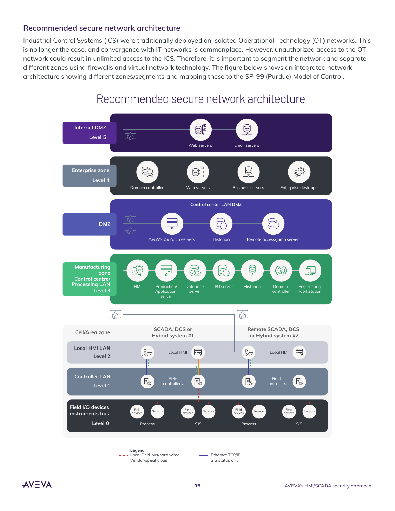#### **Recommended secure network architecture**

Industrial Control Systems (ICS) were traditionally deployed on isolated Operational Technology (OT) networks. This is no longer the case, and convergence with IT networks is commonplace. However, unauthorized access to the OT network could result in unlimited access to the ICS. Therefore, it is important to segment the network and separate different zones using firewalls and virtual network technology. The figure below shows an integrated network architecture showing different zones/segments and mapping these to the SP-99 (Purdue) Model of Control.



### Recommended secure network architecture

**AVEVA**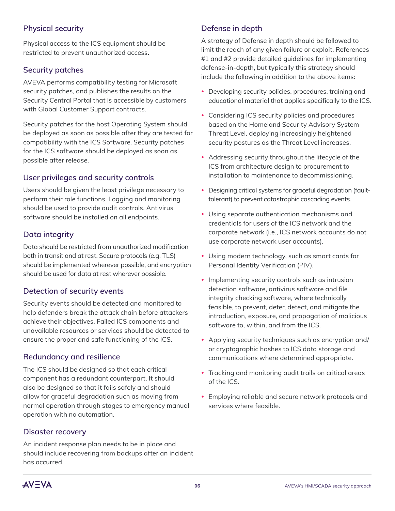### **Physical security**

Physical access to the ICS equipment should be restricted to prevent unauthorized access.

#### **Security patches**

AVEVA performs compatibility testing for Microsoft security patches, and publishes the results on the Security Central Portal that is accessible by customers with Global Customer Support contracts.

Security patches for the host Operating System should be deployed as soon as possible after they are tested for compatibility with the ICS Software. Security patches for the ICS software should be deployed as soon as possible after release.

#### **User privileges and security controls**

Users should be given the least privilege necessary to perform their role functions. Logging and monitoring should be used to provide audit controls. Antivirus software should be installed on all endpoints.

#### **Data integrity**

Data should be restricted from unauthorized modification both in transit and at rest. Secure protocols (e.g. TLS) should be implemented wherever possible, and encryption should be used for data at rest wherever possible.

### **Detection of security events**

Security events should be detected and monitored to help defenders break the attack chain before attackers achieve their objectives. Failed ICS components and unavailable resources or services should be detected to ensure the proper and safe functioning of the ICS.

#### **Redundancy and resilience**

The ICS should be designed so that each critical component has a redundant counterpart. It should also be designed so that it fails safely and should allow for graceful degradation such as moving from normal operation through stages to emergency manual operation with no automation.

#### **Disaster recovery**

An incident response plan needs to be in place and should include recovering from backups after an incident has occurred.

#### **Defense in depth**

A strategy of Defense in depth should be followed to limit the reach of any given failure or exploit. References #1 and #2 provide detailed guidelines for implementing defense-in-depth, but typically this strategy should include the following in addition to the above items:

- Developing security policies, procedures, training and educational material that applies specifically to the ICS.
- Considering ICS security policies and procedures based on the Homeland Security Advisory System Threat Level, deploying increasingly heightened security postures as the Threat Level increases.
- Addressing security throughout the lifecycle of the ICS from architecture design to procurement to installation to maintenance to decommissioning.
- Designing critical systems for graceful degradation (faulttolerant) to prevent catastrophic cascading events.
- Using separate authentication mechanisms and credentials for users of the ICS network and the corporate network (i.e., ICS network accounts do not use corporate network user accounts).
- Using modern technology, such as smart cards for Personal Identity Verification (PIV).
- Implementing security controls such as intrusion detection software, antivirus software and file integrity checking software, where technically feasible, to prevent, deter, detect, and mitigate the introduction, exposure, and propagation of malicious software to, within, and from the ICS.
- Applying security techniques such as encryption and/ or cryptographic hashes to ICS data storage and communications where determined appropriate.
- Tracking and monitoring audit trails on critical areas of the ICS.
- Employing reliable and secure network protocols and services where feasible.

**AV=VA**